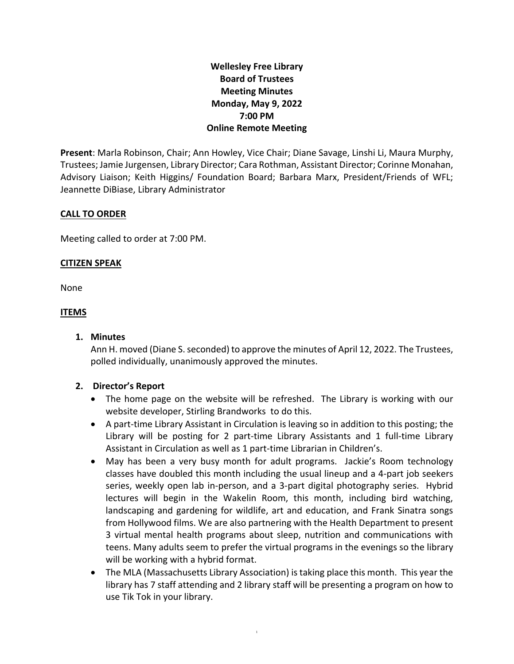# **Wellesley Free Library Board of Trustees Meeting Minutes Monday, May 9, 2022 7:00 PM Online Remote Meeting**

**Present**: Marla Robinson, Chair; Ann Howley, Vice Chair; Diane Savage, Linshi Li, Maura Murphy, Trustees; Jamie Jurgensen, Library Director; Cara Rothman, Assistant Director; Corinne Monahan, Advisory Liaison; Keith Higgins/ Foundation Board; Barbara Marx, President/Friends of WFL; Jeannette DiBiase, Library Administrator

## **CALL TO ORDER**

Meeting called to order at 7:00 PM.

## **CITIZEN SPEAK**

None

## **ITEMS**

**1. Minutes**

Ann H. moved (Diane S. seconded) to approve the minutes of April 12, 2022. The Trustees, polled individually, unanimously approved the minutes.

# **2. Director's Report**

- The home page on the website will be refreshed. The Library is working with our website developer, Stirling Brandworks to do this.
- A part-time Library Assistant in Circulation is leaving so in addition to this posting; the Library will be posting for 2 part-time Library Assistants and 1 full-time Library Assistant in Circulation as well as 1 part-time Librarian in Children's.
- May has been a very busy month for adult programs. Jackie's Room technology classes have doubled this month including the usual lineup and a 4-part job seekers series, weekly open lab in-person, and a 3-part digital photography series. Hybrid lectures will begin in the Wakelin Room, this month, including bird watching, landscaping and gardening for wildlife, art and education, and Frank Sinatra songs from Hollywood films. We are also partnering with the Health Department to present 3 virtual mental health programs about sleep, nutrition and communications with teens. Many adults seem to prefer the virtual programs in the evenings so the library will be working with a hybrid format.
- The MLA (Massachusetts Library Association) is taking place this month. This year the library has 7 staff attending and 2 library staff will be presenting a program on how to use Tik Tok in your library.

1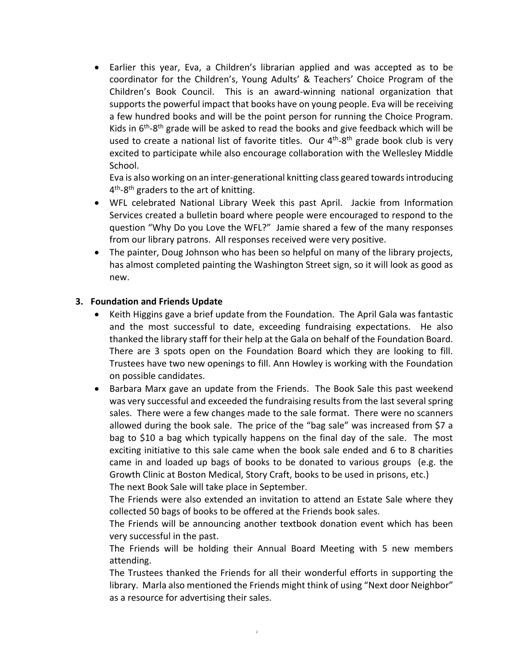Earlier this year, Eva, a Children's librarian applied and was accepted as to be coordinator for the Children's, Young Adults' & Teachers' Choice Program of the Children's Book Council. This is an award-winning national organization that supports the powerful impact that books have on young people. Eva will be receiving a few hundred books and will be the point person for running the Choice Program. Kids in 6<sup>th</sup>-8<sup>th</sup> grade will be asked to read the books and give feedback which will be used to create a national list of favorite titles. Our 4<sup>th</sup>-8<sup>th</sup> grade book club is very excited to participate while also encourage collaboration with the Wellesley Middle School.

Eva is also working on an inter-generational knitting class geared towards introducing 4<sup>th</sup>-8<sup>th</sup> graders to the art of knitting.

- WFL celebrated National Library Week this past April. Jackie from Information Services created a bulletin board where people were encouraged to respond to the question "Why Do you Love the WFL?" Jamie shared a few of the many responses from our library patrons. All responses received were very positive.
- The painter, Doug Johnson who has been so helpful on many of the library projects, has almost completed painting the Washington Street sign, so it will look as good as new.

## **3. Foundation and Friends Update**

- Keith Higgins gave a brief update from the Foundation. The April Gala was fantastic and the most successful to date, exceeding fundraising expectations. He also thanked the library staff for their help at the Gala on behalf of the Foundation Board. There are 3 spots open on the Foundation Board which they are looking to fill. Trustees have two new openings to fill. Ann Howley is working with the Foundation on possible candidates.
- Barbara Marx gave an update from the Friends. The Book Sale this past weekend was very successful and exceeded the fundraising results from the last several spring sales. There were a few changes made to the sale format. There were no scanners allowed during the book sale. The price of the "bag sale" was increased from \$7 a bag to \$10 a bag which typically happens on the final day of the sale. The most exciting initiative to this sale came when the book sale ended and 6 to 8 charities came in and loaded up bags of books to be donated to various groups (e.g. the Growth Clinic at Boston Medical, Story Craft, books to be used in prisons, etc.)

The next Book Sale will take place in September.

The Friends were also extended an invitation to attend an Estate Sale where they collected 50 bags of books to be offered at the Friends book sales.

The Friends will be announcing another textbook donation event which has been very successful in the past.

The Friends will be holding their Annual Board Meeting with 5 new members attending.

The Trustees thanked the Friends for all their wonderful efforts in supporting the library. Marla also mentioned the Friends might think of using "Next door Neighbor" as a resource for advertising their sales.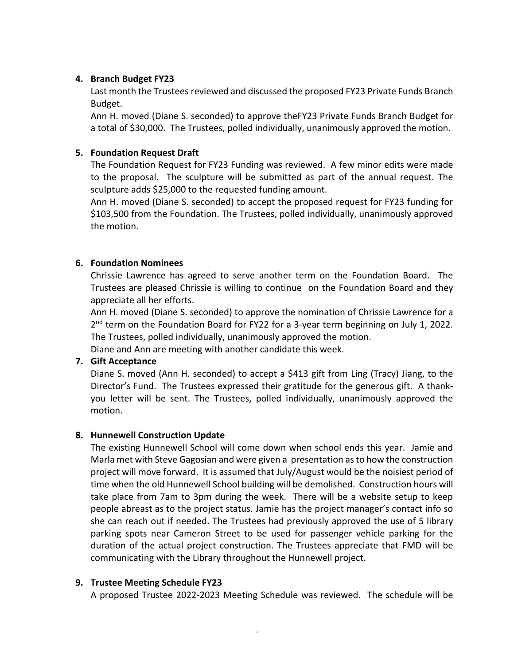## **4. Branch Budget FY23**

Last month the Trustees reviewed and discussed the proposed FY23 Private Funds Branch Budget.

Ann H. moved (Diane S. seconded) to approve theFY23 Private Funds Branch Budget for a total of \$30,000. The Trustees, polled individually, unanimously approved the motion.

# **5. Foundation Request Draft**

The Foundation Request for FY23 Funding was reviewed. A few minor edits were made to the proposal. The sculpture will be submitted as part of the annual request. The sculpture adds \$25,000 to the requested funding amount.

Ann H. moved (Diane S. seconded) to accept the proposed request for FY23 funding for \$103,500 from the Foundation. The Trustees, polled individually, unanimously approved the motion.

## **6. Foundation Nominees**

Chrissie Lawrence has agreed to serve another term on the Foundation Board. The Trustees are pleased Chrissie is willing to continue on the Foundation Board and they appreciate all her efforts.

Ann H. moved (Diane S. seconded) to approve the nomination of Chrissie Lawrence for a 2<sup>nd</sup> term on the Foundation Board for FY22 for a 3-year term beginning on July 1, 2022. The Trustees, polled individually, unanimously approved the motion.

Diane and Ann are meeting with another candidate this week.

# **7. Gift Acceptance**

Diane S. moved (Ann H. seconded) to accept a \$413 gift from Ling (Tracy) Jiang, to the Director's Fund. The Trustees expressed their gratitude for the generous gift. A thankyou letter will be sent. The Trustees, polled individually, unanimously approved the motion.

### **8. Hunnewell Construction Update**

The existing Hunnewell School will come down when school ends this year. Jamie and Marla met with Steve Gagosian and were given a presentation as to how the construction project will move forward. It is assumed that July/August would be the noisiest period of time when the old Hunnewell School building will be demolished. Construction hours will take place from 7am to 3pm during the week. There will be a website setup to keep people abreast as to the project status. Jamie has the project manager's contact info so she can reach out if needed. The Trustees had previously approved the use of 5 library parking spots near Cameron Street to be used for passenger vehicle parking for the duration of the actual project construction. The Trustees appreciate that FMD will be communicating with the Library throughout the Hunnewell project.

### **9. Trustee Meeting Schedule FY23**

A proposed Trustee 2022-2023 Meeting Schedule was reviewed. The schedule will be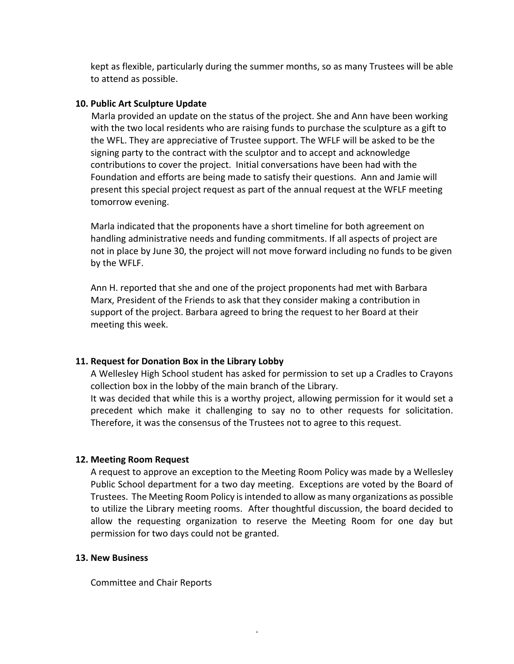kept as flexible, particularly during the summer months, so as many Trustees will be able to attend as possible.

## **10. Public Art Sculpture Update**

Marla provided an update on the status of the project. She and Ann have been working with the two local residents who are raising funds to purchase the sculpture as a gift to the WFL. They are appreciative of Trustee support. The WFLF will be asked to be the signing party to the contract with the sculptor and to accept and acknowledge contributions to cover the project. Initial conversations have been had with the Foundation and efforts are being made to satisfy their questions. Ann and Jamie will present this special project request as part of the annual request at the WFLF meeting tomorrow evening.

Marla indicated that the proponents have a short timeline for both agreement on handling administrative needs and funding commitments. If all aspects of project are not in place by June 30, the project will not move forward including no funds to be given by the WFLF.

Ann H. reported that she and one of the project proponents had met with Barbara Marx, President of the Friends to ask that they consider making a contribution in support of the project. Barbara agreed to bring the request to her Board at their meeting this week.

# **11. Request for Donation Box in the Library Lobby**

A Wellesley High School student has asked for permission to set up a Cradles to Crayons collection box in the lobby of the main branch of the Library.

It was decided that while this is a worthy project, allowing permission for it would set a precedent which make it challenging to say no to other requests for solicitation. Therefore, it was the consensus of the Trustees not to agree to this request.

### **12. Meeting Room Request**

A request to approve an exception to the Meeting Room Policy was made by a Wellesley Public School department for a two day meeting. Exceptions are voted by the Board of Trustees. The Meeting Room Policy is intended to allow as many organizations as possible to utilize the Library meeting rooms. After thoughtful discussion, the board decided to allow the requesting organization to reserve the Meeting Room for one day but permission for two days could not be granted.

4

### **13. New Business**

Committee and Chair Reports